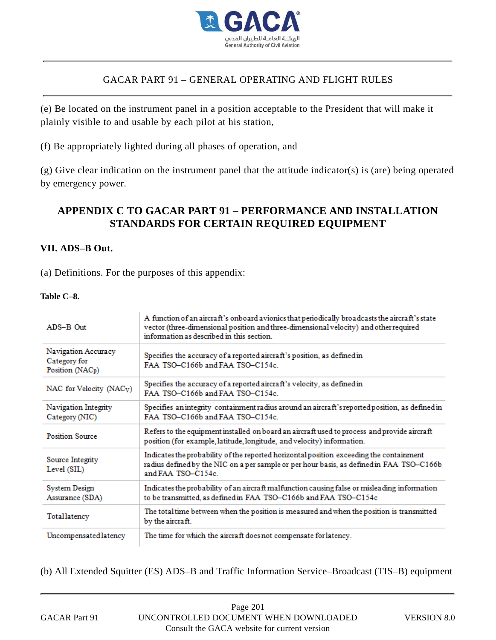

# **APPENDIX C TO GACAR PART 91 – PERFORMANCE AND INSTALLATION STANDARDS FOR CERTAIN REQUIRED EQUIPMENT**

## **VII. ADS–B Out.**

### **Table C–8.**

|                                                                     | (e) Be located on the instrument panel in a position acceptable to the President that will make it<br>plainly visible to and usable by each pilot at his station,                                                                    |
|---------------------------------------------------------------------|--------------------------------------------------------------------------------------------------------------------------------------------------------------------------------------------------------------------------------------|
|                                                                     | (f) Be appropriately lighted during all phases of operation, and                                                                                                                                                                     |
| by emergency power.                                                 | $(g)$ Give clear indication on the instrument panel that the attitude indicator(s) is (are) being operated                                                                                                                           |
|                                                                     | APPENDIX C TO GACAR PART 91 – PERFORMANCE AND INSTALLATION<br>STANDARDS FOR CERTAIN REQUIRED EQUIPMENT                                                                                                                               |
| VII. ADS-B Out.                                                     |                                                                                                                                                                                                                                      |
|                                                                     | (a) Definitions. For the purposes of this appendix:                                                                                                                                                                                  |
| Table C-8.                                                          |                                                                                                                                                                                                                                      |
| ADS-B Out                                                           | A function of an aircraft's onboard avionics that periodically broadcasts the aircraft's state<br>vector (three-dimensional position and three-dimensional velocity) and other required<br>information as described in this section. |
| Navigation Accuracy<br>Category for<br>Position (NAC <sub>p</sub> ) | Specifies the accuracy of a reported aircraft's position, as defined in<br>FAA TSO-C166b and FAA TSO-C154c.                                                                                                                          |
| NAC for Velocity (NAC <sub>V</sub> )                                | Specifies the accuracy of a reported aircraft's velocity, as defined in<br>FAA TSO-C166b and FAA TSO-C154c.                                                                                                                          |
| Navigation Integrity<br>Category (NIC)                              | Specifies an integrity containment radius around an aircraft's reported position, as defined in<br>FAA TSO-C166b and FAA TSO-C154c.                                                                                                  |
| <b>Position Source</b>                                              | Refers to the equipment installed on board an aircraft used to process and provide aircraft<br>position (for example, latitude, longitude, and velocity) information.                                                                |
| Source Integrity<br>Level (SIL)                                     | Indicates the probability of the reported horizontal position exceeding the containment<br>radius defined by the NIC on a per sample or per hour basis, as defined in FAA TSO-C166b<br>and FAA TSO-C154c.                            |
| System Design<br>Assurance (SDA)                                    | Indicates the probability of an aircraft malfunction causing false or misleading information<br>to be transmitted, as defined in FAA TSO-C166b and FAA TSO-C154c                                                                     |
|                                                                     | The total time between when the position is measured and when the position is transmitted                                                                                                                                            |
| Totallatency                                                        | by the aircraft.                                                                                                                                                                                                                     |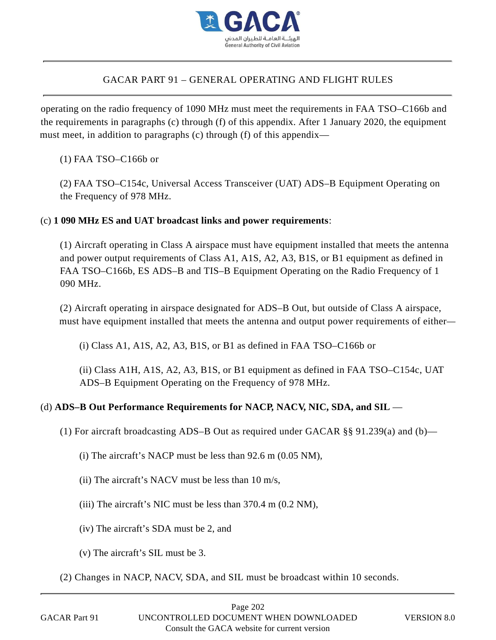

# GACAR PART 91 – GENERAL OPERATING AND FLIGHT RULES

operating on the radio frequency of 1090 MHz must meet the requirements in FAA TSO–C166b and the requirements in paragraphs (c) through (f) of this appendix. After 1 January 2020, the equipment must meet, in addition to paragraphs (c) through (f) of this appendix—

(1) FAA TSO–C166b or

(2) FAA TSO–C154c, Universal Access Transceiver (UAT) ADS–B Equipment Operating on the Frequency of 978 MHz.

## (c) **1 090 MHz ES and UAT broadcast links and power requirements**:

(1) Aircraft operating in Class A airspace must have equipment installed that meets the antenna and power output requirements of Class A1, A1S, A2, A3, B1S, or B1 equipment as defined in FAA TSO–C166b, ES ADS–B and TIS–B Equipment Operating on the Radio Frequency of 1 090 MHz.

(2) Aircraft operating in airspace designated for ADS–B Out, but outside of Class A airspace, must have equipment installed that meets the antenna and output power requirements of either—

(i) Class A1, A1S, A2, A3, B1S, or B1 as defined in FAA TSO–C166b or

(ii) Class A1H, A1S, A2, A3, B1S, or B1 equipment as defined in FAA TSO–C154c, UAT ADS–B Equipment Operating on the Frequency of 978 MHz.

# (d) **ADS–B Out Performance Requirements for NACP, NACV, NIC, SDA, and SIL** —

(1) For aircraft broadcasting ADS–B Out as required under GACAR §§ 91.239(a) and (b)—

- (i) The aircraft's NACP must be less than 92.6 m (0.05 NM),
- (ii) The aircraft's NACV must be less than 10 m/s,
- (iii) The aircraft's NIC must be less than 370.4 m (0.2 NM),
- (iv) The aircraft's SDA must be 2, and
- (v) The aircraft's SIL must be 3.
- (2) Changes in NACP, NACV, SDA, and SIL must be broadcast within 10 seconds.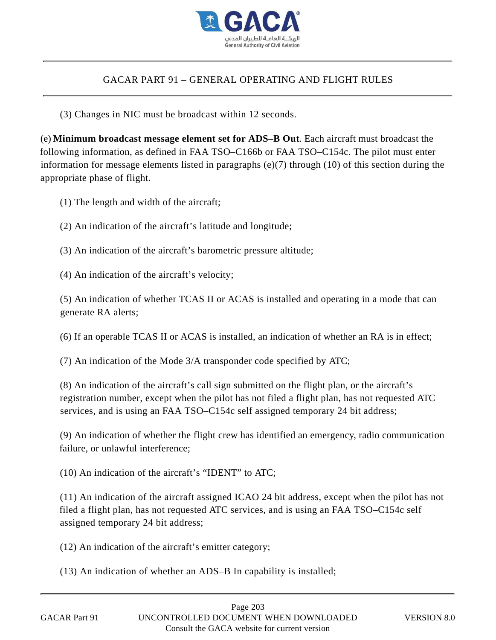

(3) Changes in NIC must be broadcast within 12 seconds.

(e) **Minimum broadcast message element set for ADS–B Out**. Each aircraft must broadcast the following information, as defined in FAA TSO–C166b or FAA TSO–C154c. The pilot must enter information for message elements listed in paragraphs (e)(7) through (10) of this section during the appropriate phase of flight. GACAR PART 91 – GENERAL OPERATING AND FLIGHT RULES<br>(3) Changes in NIC must be broadcast within 12 seconds.<br> **Intimum broadcast nessage element set for ADS–B Out** Each aircraft must browing information, as defined in FAA T

(1) The length and width of the aircraft;

(2) An indication of the aircraft's latitude and longitude;

(3) An indication of the aircraft's barometric pressure altitude;

(4) An indication of the aircraft's velocity;

(5) An indication of whether TCAS II or ACAS is installed and operating in a mode that can generate RA alerts;

(6) If an operable TCAS II or ACAS is installed, an indication of whether an RA is in effect;

(7) An indication of the Mode 3/A transponder code specified by ATC;

(8) An indication of the aircraft's call sign submitted on the flight plan, or the aircraft's registration number, except when the pilot has not filed a flight plan, has not requested ATC services, and is using an FAA TSO–C154c self assigned temporary 24 bit address;

(9) An indication of whether the flight crew has identified an emergency, radio communication failure, or unlawful interference;

(10) An indication of the aircraft's "IDENT" to ATC;

(11) An indication of the aircraft assigned ICAO 24 bit address, except when the pilot has not filed a flight plan, has not requested ATC services, and is using an FAA TSO–C154c self assigned temporary 24 bit address;

(12) An indication of the aircraft's emitter category;